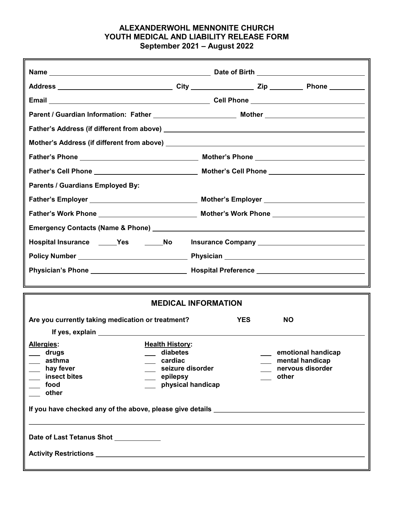## ALEXANDERWOHL MENNONITE CHURCH YOUTH MEDICAL AND LIABILITY RELEASE FORM September 2021 – August 2022

| <b>Parents / Guardians Employed By:</b>                                          |                                                  |            |  |           |  |  |
|----------------------------------------------------------------------------------|--------------------------------------------------|------------|--|-----------|--|--|
|                                                                                  |                                                  |            |  |           |  |  |
|                                                                                  |                                                  |            |  |           |  |  |
|                                                                                  |                                                  |            |  |           |  |  |
| Hospital Insurance ______Yes ______No lnsurance Company ________________________ |                                                  |            |  |           |  |  |
|                                                                                  |                                                  |            |  |           |  |  |
|                                                                                  |                                                  |            |  |           |  |  |
|                                                                                  |                                                  |            |  |           |  |  |
| <b>MEDICAL INFORMATION</b>                                                       |                                                  |            |  |           |  |  |
| Are you currently taking medication or treatment?                                |                                                  | <b>YES</b> |  | <b>NO</b> |  |  |
|                                                                                  |                                                  |            |  |           |  |  |
| <b>Health History:</b><br><b>Allergies:</b><br>diabetes                          |                                                  |            |  |           |  |  |
| drugs<br>asthma                                                                  | emotional handicap<br>cardiac<br>mental handicap |            |  |           |  |  |
| hay fever                                                                        | seizure disorder<br>nervous disorder             |            |  |           |  |  |
| insect bites                                                                     | other<br>epilepsy                                |            |  |           |  |  |
| physical handicap<br>food<br>other                                               |                                                  |            |  |           |  |  |
| If you have checked any of the above, please give details ______________________ |                                                  |            |  |           |  |  |
| Date of Last Tetanus Shot ___________                                            |                                                  |            |  |           |  |  |
|                                                                                  |                                                  |            |  |           |  |  |